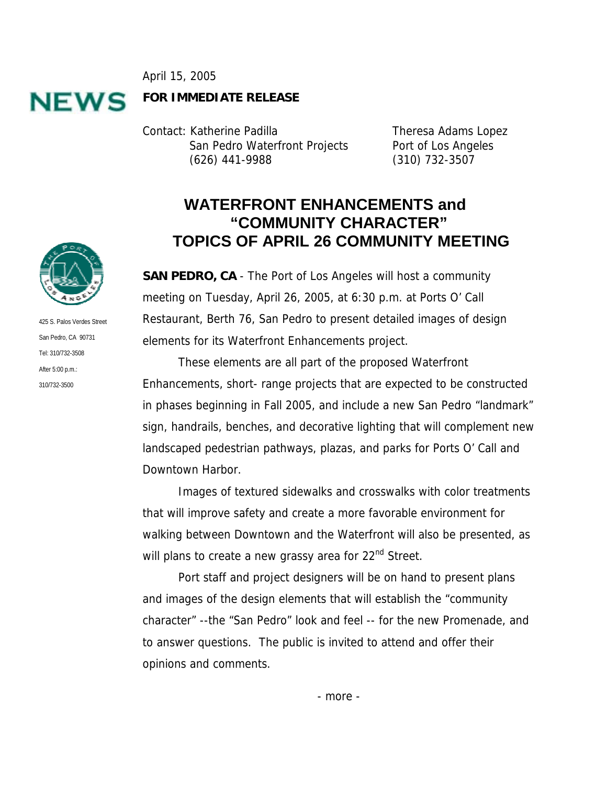April 15, 2005



**FOR IMMEDIATE RELEASE**

Contact: Katherine Padilla Theresa Adams Lopez San Pedro Waterfront Projects Port of Los Angeles (626) 441-9988 (310) 732-3507

## **WATERFRONT ENHANCEMENTS and "COMMUNITY CHARACTER" TOPICS OF APRIL 26 COMMUNITY MEETING**

**SAN PEDRO, CA** - The Port of Los Angeles will host a community meeting on Tuesday, April 26, 2005, at 6:30 p.m. at Ports O' Call Restaurant, Berth 76, San Pedro to present detailed images of design elements for its Waterfront Enhancements project.

These elements are all part of the proposed Waterfront Enhancements, short- range projects that are expected to be constructed in phases beginning in Fall 2005, and include a new San Pedro "landmark" sign, handrails, benches, and decorative lighting that will complement new landscaped pedestrian pathways, plazas, and parks for Ports O' Call and Downtown Harbor.

Images of textured sidewalks and crosswalks with color treatments that will improve safety and create a more favorable environment for walking between Downtown and the Waterfront will also be presented, as will plans to create a new grassy area for 22<sup>nd</sup> Street.

 Port staff and project designers will be on hand to present plans and images of the design elements that will establish the "community character" --the "San Pedro" look and feel -- for the new Promenade, and to answer questions. The public is invited to attend and offer their opinions and comments.



425 S. Palos Verdes Street San Pedro, CA 90731 Tel: 310/732-3508 After 5:00 p.m.: 310/732-3500